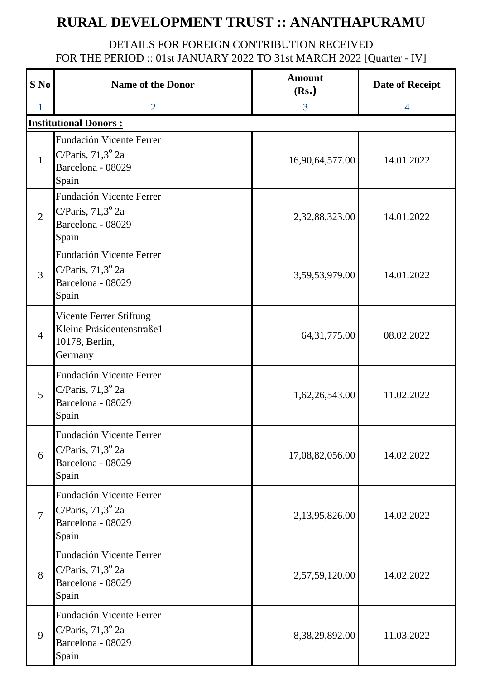## **RURAL DEVELOPMENT TRUST :: ANANTHAPURAMU**

## DETAILS FOR FOREIGN CONTRIBUTION RECEIVED FOR THE PERIOD :: 01st JANUARY 2022 TO 31st MARCH 2022 [Quarter - IV]

| S No           | <b>Name of the Donor</b>                                                                    | <b>Amount</b><br>(Rs.) | <b>Date of Receipt</b> |  |  |
|----------------|---------------------------------------------------------------------------------------------|------------------------|------------------------|--|--|
| $\mathbf{1}$   | $\overline{2}$                                                                              | 3                      | $\overline{4}$         |  |  |
|                | <b>Institutional Donors:</b>                                                                |                        |                        |  |  |
| $\mathbf{1}$   | Fundación Vicente Ferrer<br>C/Paris, $71,3^{\circ}$ 2a<br>Barcelona - 08029<br>Spain        | 16,90,64,577.00        | 14.01.2022             |  |  |
| 2              | Fundación Vicente Ferrer<br>C/Paris, $71,3^{\circ}$ 2a<br>Barcelona - 08029<br>Spain        | 2,32,88,323.00         | 14.01.2022             |  |  |
| $\overline{3}$ | <b>Fundación Vicente Ferrer</b><br>C/Paris, $71,3^{\circ}$ 2a<br>Barcelona - 08029<br>Spain | 3,59,53,979.00         | 14.01.2022             |  |  |
| $\overline{4}$ | Vicente Ferrer Stiftung<br>Kleine Präsidentenstraße1<br>10178, Berlin,<br>Germany           | 64, 31, 775.00         | 08.02.2022             |  |  |
| 5              | Fundación Vicente Ferrer<br>C/Paris, $71,3^{\circ}$ 2a<br>Barcelona - 08029<br>Spain        | 1,62,26,543.00         | 11.02.2022             |  |  |
| 6              | Fundación Vicente Ferrer<br>C/Paris, $71,3^{\circ}$ 2a<br>Barcelona - 08029<br>Spain        | 17,08,82,056.00        | 14.02.2022             |  |  |
| $\overline{7}$ | Fundación Vicente Ferrer<br>C/Paris, $71,3^{\circ}$ 2a<br>Barcelona - 08029<br>Spain        | 2,13,95,826.00         | 14.02.2022             |  |  |
| 8              | Fundación Vicente Ferrer<br>C/Paris, $71,3^{\circ}$ 2a<br>Barcelona - 08029<br>Spain        | 2,57,59,120.00         | 14.02.2022             |  |  |
| 9              | Fundación Vicente Ferrer<br>C/Paris, $71,3^{\circ}$ 2a<br>Barcelona - 08029<br>Spain        | 8,38,29,892.00         | 11.03.2022             |  |  |